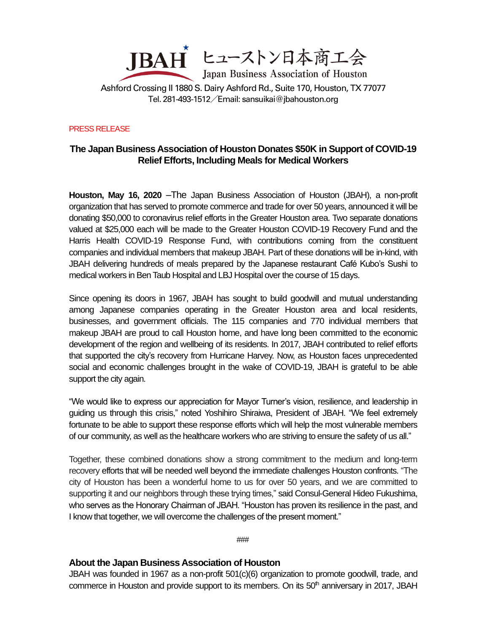

Ashford Crossing II 1880 S. Dairy Ashford Rd., Suite 170, Houston, TX 77077 Tel. 281-493-1512/Email[: sansuikai@jbahouston.org](mailto:sansuikai@jbahouston.org)

PRESS RELEASE

## **The Japan Business Association of Houston Donates \$50K in Support of COVID-19 Relief Efforts, Including Meals for Medical Workers**

**Houston, May 16, 2020** –The Japan Business Association of Houston (JBAH), a non-profit organization that has served to promote commerce and trade for over 50 years, announced it will be donating \$50,000 to coronavirus relief efforts in the Greater Houston area. Two separate donations valued at \$25,000 each will be made to the Greater Houston COVID-19 Recovery Fund and the Harris Health COVID-19 Response Fund, with contributions coming from the constituent companies and individual members that makeup JBAH. Part of these donations will be in-kind, with JBAH delivering hundreds of meals prepared by the Japanese restaurant Café Kubo's Sushi to medical workers in Ben Taub Hospital and LBJ Hospital over the course of 15 days.

Since opening its doors in 1967, JBAH has sought to build goodwill and mutual understanding among Japanese companies operating in the Greater Houston area and local residents, businesses, and government officials. The 115 companies and 770 individual members that makeup JBAH are proud to call Houston home, and have long been committed to the economic development of the region and wellbeing of its residents. In 2017, JBAH contributed to relief efforts that supported the city's recovery from Hurricane Harvey. Now, as Houston faces unprecedented social and economic challenges brought in the wake of COVID-19, JBAH is grateful to be able support the city again.

"We would like to express our appreciation for Mayor Turner's vision, resilience, and leadership in guiding us through this crisis," noted Yoshihiro Shiraiwa, President of JBAH. "We feel extremely fortunate to be able to support these response efforts which will help the most vulnerable members of our community, as well as the healthcare workers who are striving to ensure the safety of us all."

Together, these combined donations show a strong commitment to the medium and long-term recovery efforts that will be needed well beyond the immediate challenges Houston confronts. "The city of Houston has been a wonderful home to us for over 50 years, and we are committed to supporting it and our neighbors through these trying times," said Consul-General Hideo Fukushima, who serves as the Honorary Chairman of JBAH. "Houston has proven its resilience in the past, and I know that together, we will overcome the challenges of the present moment."

###

## **About the Japan Business Association of Houston**

JBAH was founded in 1967 as a non-profit 501(c)(6) organization to promote goodwill, trade, and commerce in Houston and provide support to its members. On its  $50<sup>th</sup>$  anniversary in 2017, JBAH